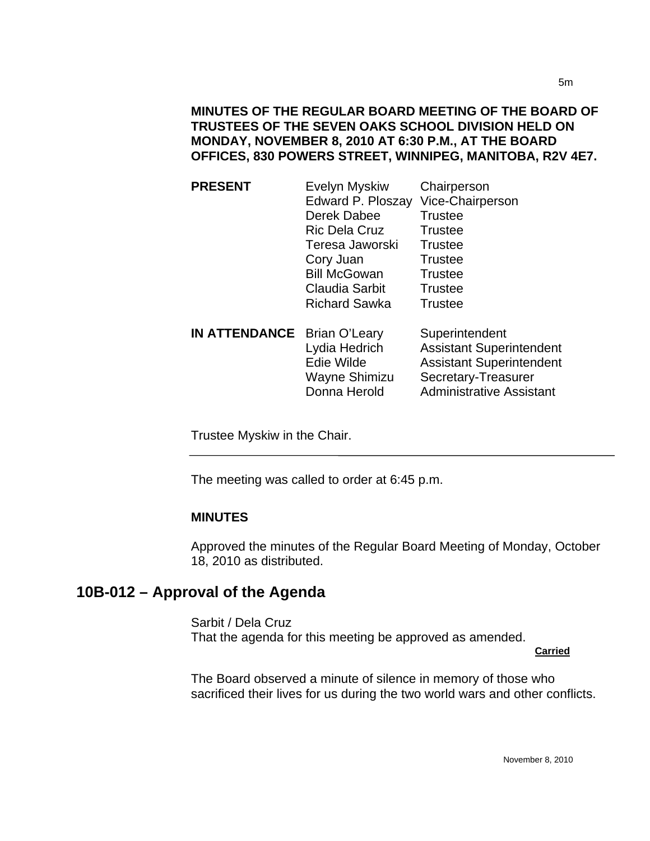| <b>PRESENT</b>       | Evelyn Myskiw<br>Edward P. Ploszay<br>Derek Dabee<br><b>Ric Dela Cruz</b><br>Teresa Jaworski<br>Cory Juan<br><b>Bill McGowan</b><br><b>Claudia Sarbit</b><br><b>Richard Sawka</b> | Chairperson<br>Vice-Chairperson<br><b>Trustee</b><br><b>Trustee</b><br><b>Trustee</b><br><b>Trustee</b><br><b>Trustee</b><br><b>Trustee</b><br><b>Trustee</b> |
|----------------------|-----------------------------------------------------------------------------------------------------------------------------------------------------------------------------------|---------------------------------------------------------------------------------------------------------------------------------------------------------------|
| <b>IN ATTENDANCE</b> | <b>Brian O'Leary</b><br>Lydia Hedrich<br><b>Edie Wilde</b><br>Wayne Shimizu<br>Donna Herold                                                                                       | Superintendent<br><b>Assistant Superintendent</b><br><b>Assistant Superintendent</b><br>Secretary-Treasurer<br><b>Administrative Assistant</b>                |

Trustee Myskiw in the Chair.

The meeting was called to order at 6:45 p.m.

#### **MINUTES**

Approved the minutes of the Regular Board Meeting of Monday, October 18, 2010 as distributed.

# **10B-012 – Approval of the Agenda**

I

Sarbit / Dela Cruz That the agenda for this meeting be approved as amended.

**Carried**

The Board observed a minute of silence in memory of those who sacrificed their lives for us during the two world wars and other conflicts.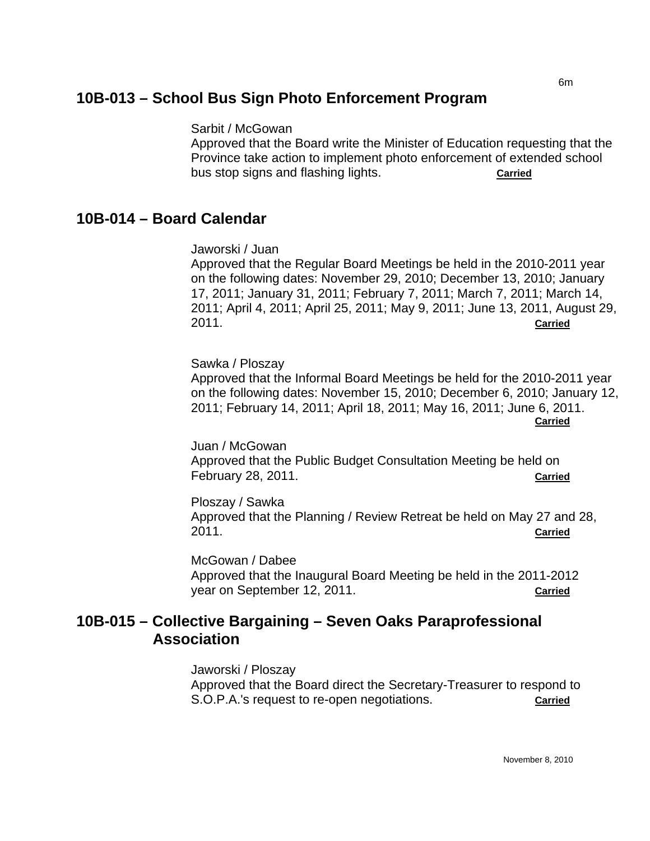#### 6m **10B-013 – School Bus Sign Photo Enforcement Program**

Sarbit / McGowan

Approved that the Board write the Minister of Education requesting that the Province take action to implement photo enforcement of extended school bus stop signs and flashing lights. **Carried**

# **10B-014 – Board Calendar**

Jaworski / Juan

Approved that the Regular Board Meetings be held in the 2010-2011 year on the following dates: November 29, 2010; December 13, 2010; January 17, 2011; January 31, 2011; February 7, 2011; March 7, 2011; March 14, 2011; April 4, 2011; April 25, 2011; May 9, 2011; June 13, 2011, August 29, 2011. **Carried**

Sawka / Ploszay Approved that the Informal Board Meetings be held for the 2010-2011 year on the following dates: November 15, 2010; December 6, 2010; January 12, 2011; February 14, 2011; April 18, 2011; May 16, 2011; June 6, 2011. **Carried**

Juan / McGowan Approved that the Public Budget Consultation Meeting be held on February 28, 2011. **Carried**

Ploszay / Sawka Approved that the Planning / Review Retreat be held on May 27 and 28, 2011. **Carried**

McGowan / Dabee Approved that the Inaugural Board Meeting be held in the 2011-2012 year on September 12, 2011. **Carried**

# **10B-015 – Collective Bargaining – Seven Oaks Paraprofessional Association**

Jaworski / Ploszay Approved that the Board direct the Secretary-Treasurer to respond to S.O.P.A.'s request to re-open negotiations. **Carried**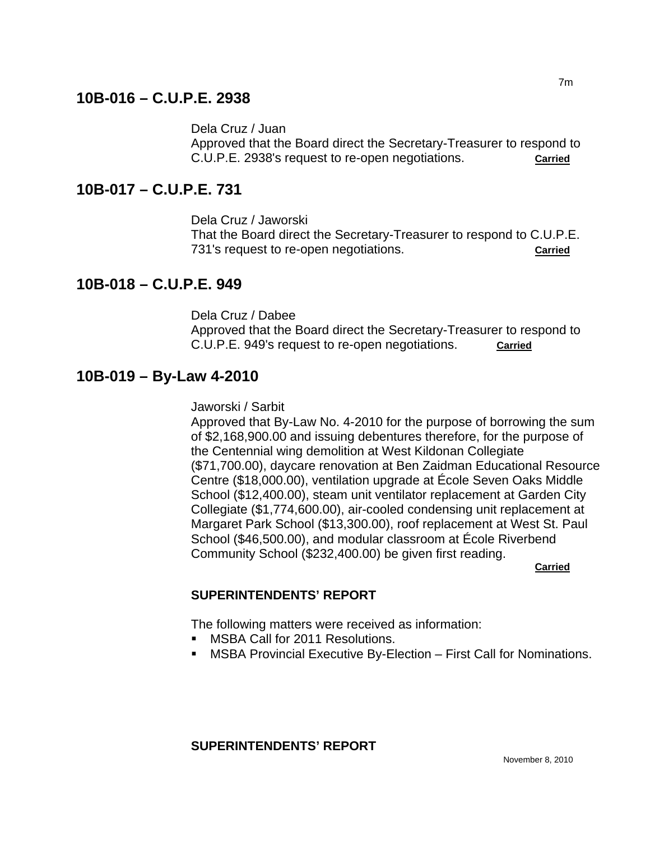# **10B-016 – C.U.P.E. 2938**

Dela Cruz / Juan

Approved that the Board direct the Secretary-Treasurer to respond to C.U.P.E. 2938's request to re-open negotiations. **Carried**

# **10B-017 – C.U.P.E. 731**

Dela Cruz / Jaworski

That the Board direct the Secretary-Treasurer to respond to C.U.P.E. 731's request to re-open negotiations. **Carried**

# **10B-018 – C.U.P.E. 949**

Dela Cruz / Dabee Approved that the Board direct the Secretary-Treasurer to respond to C.U.P.E. 949's request to re-open negotiations. **Carried**

# **10B-019 – By-Law 4-2010**

Jaworski / Sarbit

Approved that By-Law No. 4-2010 for the purpose of borrowing the sum of \$2,168,900.00 and issuing debentures therefore, for the purpose of the Centennial wing demolition at West Kildonan Collegiate (\$71,700.00), daycare renovation at Ben Zaidman Educational Resource Centre (\$18,000.00), ventilation upgrade at École Seven Oaks Middle School (\$12,400.00), steam unit ventilator replacement at Garden City Collegiate (\$1,774,600.00), air-cooled condensing unit replacement at Margaret Park School (\$13,300.00), roof replacement at West St. Paul School (\$46,500.00), and modular classroom at École Riverbend Community School (\$232,400.00) be given first reading.

**Carried** 

### **SUPERINTENDENTS' REPORT**

The following matters were received as information:

- **MSBA Call for 2011 Resolutions.**
- MSBA Provincial Executive By-Election First Call for Nominations.

### **SUPERINTENDENTS' REPORT**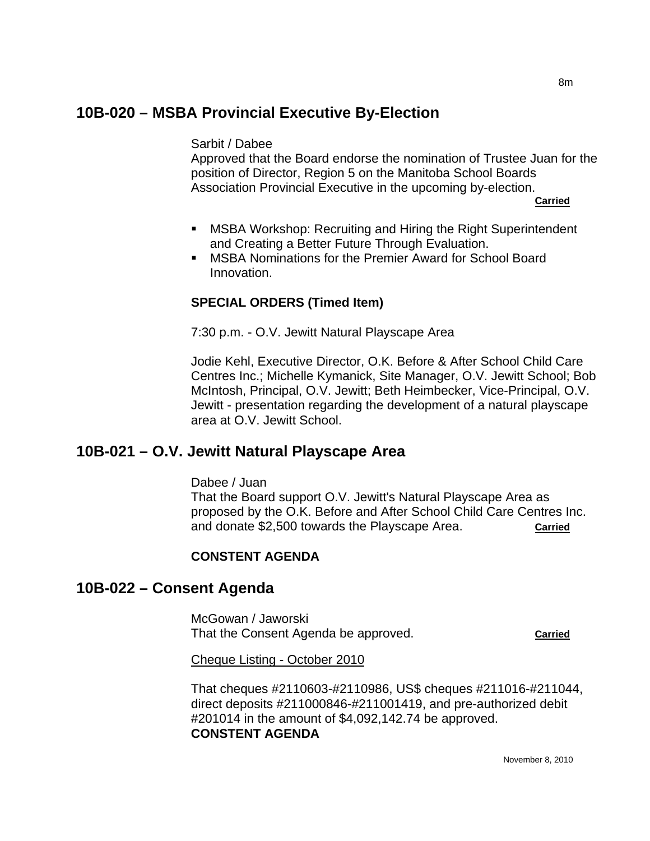## **10B-020 – MSBA Provincial Executive By-Election**

#### Sarbit / Dabee

Approved that the Board endorse the nomination of Trustee Juan for the position of Director, Region 5 on the Manitoba School Boards Association Provincial Executive in the upcoming by-election.

**Carried**

- MSBA Workshop: Recruiting and Hiring the Right Superintendent and Creating a Better Future Through Evaluation.
- **MSBA Nominations for the Premier Award for School Board** Innovation.

### **SPECIAL ORDERS (Timed Item)**

7:30 p.m. - O.V. Jewitt Natural Playscape Area

Jodie Kehl, Executive Director, O.K. Before & After School Child Care Centres Inc.; Michelle Kymanick, Site Manager, O.V. Jewitt School; Bob McIntosh, Principal, O.V. Jewitt; Beth Heimbecker, Vice-Principal, O.V. Jewitt - presentation regarding the development of a natural playscape area at O.V. Jewitt School.

# **10B-021 – O.V. Jewitt Natural Playscape Area**

Dabee / Juan

That the Board support O.V. Jewitt's Natural Playscape Area as proposed by the O.K. Before and After School Child Care Centres Inc. and donate \$2,500 towards the Playscape Area. **Carried**

### **CONSTENT AGENDA**

### **10B-022 – Consent Agenda**

McGowan / Jaworski That the Consent Agenda be approved. **Carried**

Cheque Listing - October 2010

That cheques #2110603-#2110986, US\$ cheques #211016-#211044, direct deposits #211000846-#211001419, and pre-authorized debit #201014 in the amount of \$4,092,142.74 be approved. **CONSTENT AGENDA**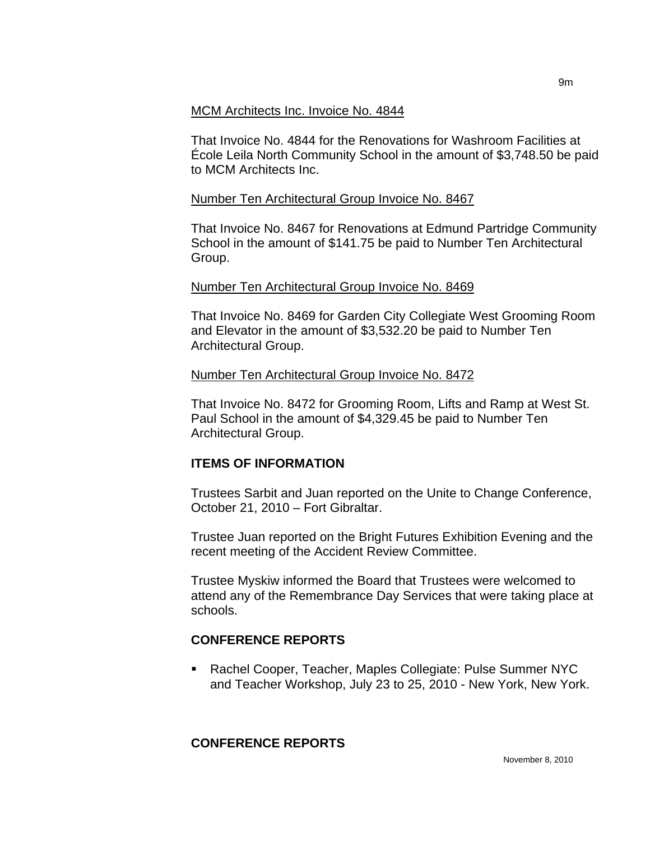#### MCM Architects Inc. Invoice No. 4844

That Invoice No. 4844 for the Renovations for Washroom Facilities at École Leila North Community School in the amount of \$3,748.50 be paid to MCM Architects Inc.

### Number Ten Architectural Group Invoice No. 8467

That Invoice No. 8467 for Renovations at Edmund Partridge Community School in the amount of \$141.75 be paid to Number Ten Architectural Group.

### Number Ten Architectural Group Invoice No. 8469

That Invoice No. 8469 for Garden City Collegiate West Grooming Room and Elevator in the amount of \$3,532.20 be paid to Number Ten Architectural Group.

### Number Ten Architectural Group Invoice No. 8472

That Invoice No. 8472 for Grooming Room, Lifts and Ramp at West St. Paul School in the amount of \$4,329.45 be paid to Number Ten Architectural Group.

### **ITEMS OF INFORMATION**

Trustees Sarbit and Juan reported on the Unite to Change Conference, October 21, 2010 – Fort Gibraltar.

Trustee Juan reported on the Bright Futures Exhibition Evening and the recent meeting of the Accident Review Committee.

Trustee Myskiw informed the Board that Trustees were welcomed to attend any of the Remembrance Day Services that were taking place at schools.

# **CONFERENCE REPORTS**

 Rachel Cooper, Teacher, Maples Collegiate: Pulse Summer NYC and Teacher Workshop, July 23 to 25, 2010 - New York, New York.

# **CONFERENCE REPORTS**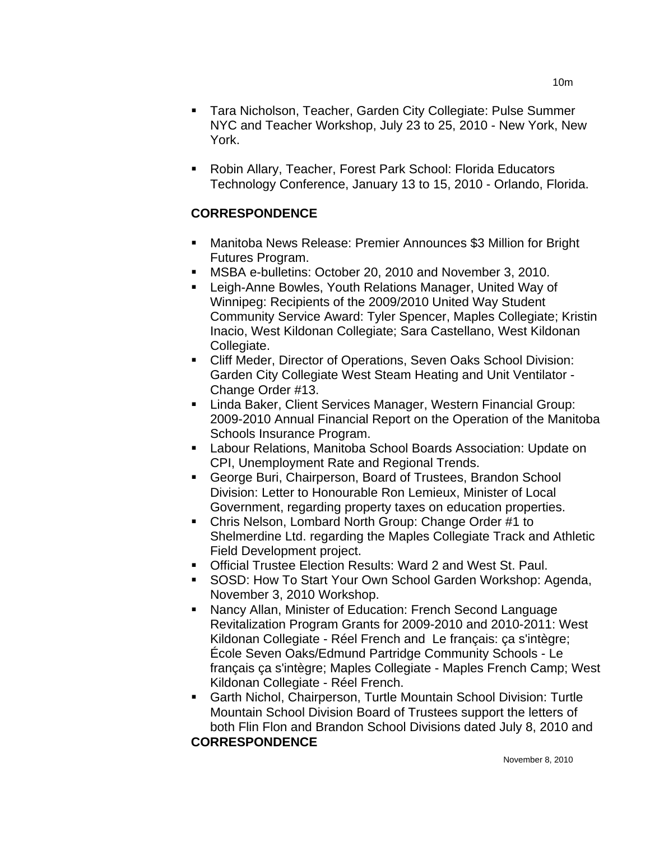- Tara Nicholson, Teacher, Garden City Collegiate: Pulse Summer NYC and Teacher Workshop, July 23 to 25, 2010 - New York, New York.
- Robin Allary, Teacher, Forest Park School: Florida Educators Technology Conference, January 13 to 15, 2010 - Orlando, Florida.

### **CORRESPONDENCE**

- Manitoba News Release: Premier Announces \$3 Million for Bright Futures Program.
- MSBA e-bulletins: October 20, 2010 and November 3, 2010.
- Leigh-Anne Bowles, Youth Relations Manager, United Way of Winnipeg: Recipients of the 2009/2010 United Way Student Community Service Award: Tyler Spencer, Maples Collegiate; Kristin Inacio, West Kildonan Collegiate; Sara Castellano, West Kildonan Collegiate.
- Cliff Meder, Director of Operations, Seven Oaks School Division: Garden City Collegiate West Steam Heating and Unit Ventilator - Change Order #13.
- **E.** Linda Baker, Client Services Manager, Western Financial Group: 2009-2010 Annual Financial Report on the Operation of the Manitoba Schools Insurance Program.
- Labour Relations, Manitoba School Boards Association: Update on CPI, Unemployment Rate and Regional Trends.
- George Buri, Chairperson, Board of Trustees, Brandon School Division: Letter to Honourable Ron Lemieux, Minister of Local Government, regarding property taxes on education properties.
- Chris Nelson, Lombard North Group: Change Order #1 to Shelmerdine Ltd. regarding the Maples Collegiate Track and Athletic Field Development project.
- Official Trustee Election Results: Ward 2 and West St. Paul.
- **SOSD: How To Start Your Own School Garden Workshop: Agenda,** November 3, 2010 Workshop.
- Nancy Allan, Minister of Education: French Second Language Revitalization Program Grants for 2009-2010 and 2010-2011: West Kildonan Collegiate - Réel French and Le français: ça s'intègre; École Seven Oaks/Edmund Partridge Community Schools - Le français ça s'intègre; Maples Collegiate - Maples French Camp; West Kildonan Collegiate - Réel French.
- Garth Nichol, Chairperson, Turtle Mountain School Division: Turtle Mountain School Division Board of Trustees support the letters of both Flin Flon and Brandon School Divisions dated July 8, 2010 and **CORRESPONDENCE**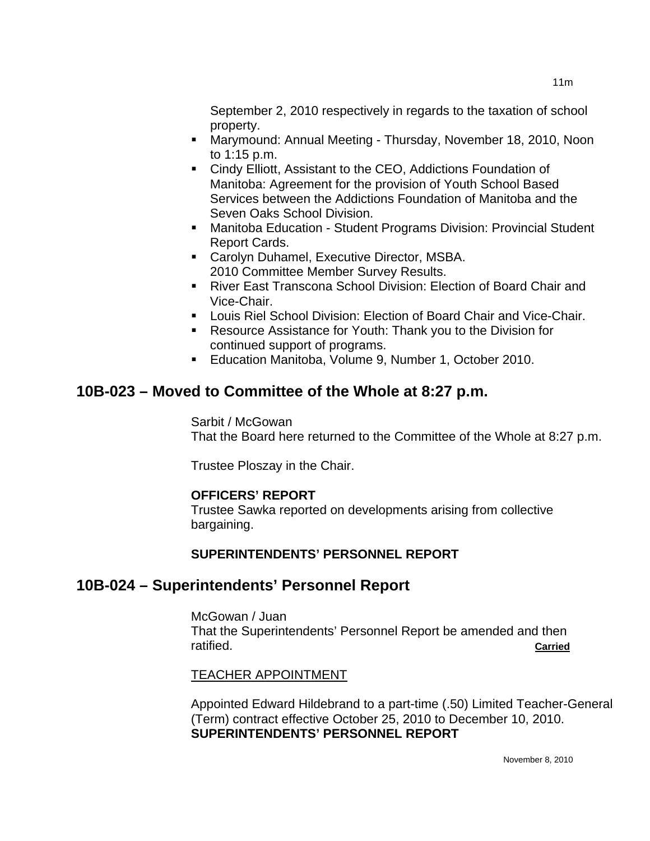September 2, 2010 respectively in regards to the taxation of school property.

- Marymound: Annual Meeting Thursday, November 18, 2010, Noon to 1:15 p.m.
- Cindy Elliott, Assistant to the CEO, Addictions Foundation of Manitoba: Agreement for the provision of Youth School Based Services between the Addictions Foundation of Manitoba and the Seven Oaks School Division.
- Manitoba Education Student Programs Division: Provincial Student Report Cards.
- **EXEC** Carolyn Duhamel, Executive Director, MSBA. 2010 Committee Member Survey Results.
- River East Transcona School Division: Election of Board Chair and Vice-Chair.
- **Louis Riel School Division: Election of Board Chair and Vice-Chair.**
- Resource Assistance for Youth: Thank you to the Division for continued support of programs.
- **Education Manitoba, Volume 9, Number 1, October 2010.**

# **10B-023 – Moved to Committee of the Whole at 8:27 p.m.**

Sarbit / McGowan That the Board here returned to the Committee of the Whole at 8:27 p.m.

Trustee Ploszay in the Chair.

### **OFFICERS' REPORT**

Trustee Sawka reported on developments arising from collective bargaining.

# **SUPERINTENDENTS' PERSONNEL REPORT**

# **10B-024 – Superintendents' Personnel Report**

McGowan / Juan That the Superintendents' Personnel Report be amended and then ratified. **Carried**

### TEACHER APPOINTMENT

Appointed Edward Hildebrand to a part-time (.50) Limited Teacher-General (Term) contract effective October 25, 2010 to December 10, 2010. **SUPERINTENDENTS' PERSONNEL REPORT**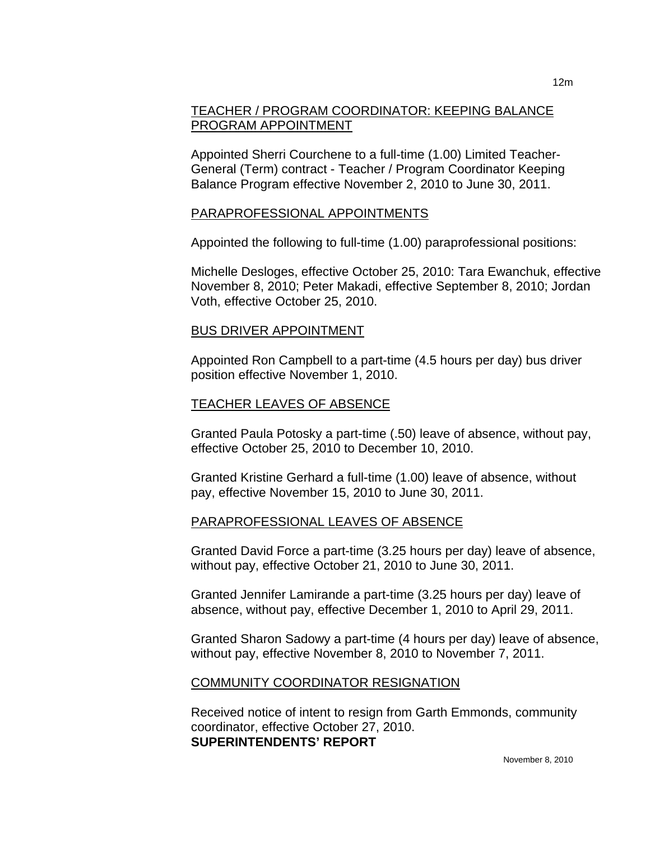### TEACHER / PROGRAM COORDINATOR: KEEPING BALANCE PROGRAM APPOINTMENT

Appointed Sherri Courchene to a full-time (1.00) Limited Teacher-General (Term) contract - Teacher / Program Coordinator Keeping Balance Program effective November 2, 2010 to June 30, 2011.

#### PARAPROFESSIONAL APPOINTMENTS

Appointed the following to full-time (1.00) paraprofessional positions:

Michelle Desloges, effective October 25, 2010: Tara Ewanchuk, effective November 8, 2010; Peter Makadi, effective September 8, 2010; Jordan Voth, effective October 25, 2010.

#### BUS DRIVER APPOINTMENT

Appointed Ron Campbell to a part-time (4.5 hours per day) bus driver position effective November 1, 2010.

#### TEACHER LEAVES OF ABSENCE

Granted Paula Potosky a part-time (.50) leave of absence, without pay, effective October 25, 2010 to December 10, 2010.

Granted Kristine Gerhard a full-time (1.00) leave of absence, without pay, effective November 15, 2010 to June 30, 2011.

### PARAPROFESSIONAL LEAVES OF ABSENCE

Granted David Force a part-time (3.25 hours per day) leave of absence, without pay, effective October 21, 2010 to June 30, 2011.

Granted Jennifer Lamirande a part-time (3.25 hours per day) leave of absence, without pay, effective December 1, 2010 to April 29, 2011.

Granted Sharon Sadowy a part-time (4 hours per day) leave of absence, without pay, effective November 8, 2010 to November 7, 2011.

#### COMMUNITY COORDINATOR RESIGNATION

Received notice of intent to resign from Garth Emmonds, community coordinator, effective October 27, 2010. **SUPERINTENDENTS' REPORT**